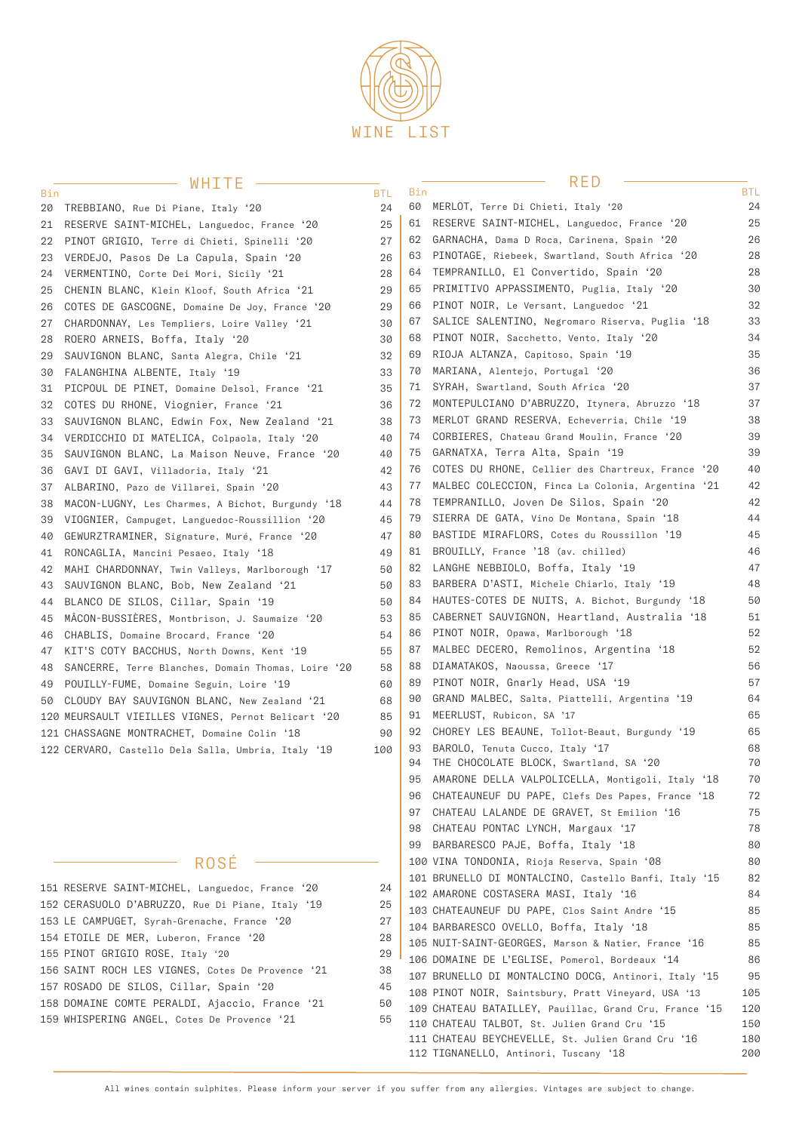

### $-WHTTF =$

#### RED

 CHATEAU BEYCHEVELLE, St. Julien Grand Cru '16 180 TIGNANELLO, Antinori, Tuscany '18 200

| Bin | $VV I I \perp I I \perp$                            | <b>BTL</b> | Bin |                                                                                        | BTL.     |
|-----|-----------------------------------------------------|------------|-----|----------------------------------------------------------------------------------------|----------|
|     | 20 TREBBIANO, Rue Di Piane, Italy '20               | 24         | 60  | MERLOT, Terre Di Chieti, Italy '20                                                     | 24       |
| 21  | RESERVE SAINT-MICHEL, Languedoc, France '20         | 25         | 61  | RESERVE SAINT-MICHEL, Languedoc, France '20                                            | 25       |
| 22  | PINOT GRIGIO, Terre di Chieti, Spinelli '20         | 27         | 62  | GARNACHA, Dama D Roca, Carinena, Spain '20                                             | 26       |
| 23  | VERDEJO, Pasos De La Capula, Spain '20              | 26         | 63  | PINOTAGE, Riebeek, Swartland, South Africa '20                                         | 28       |
| 24  | VERMENTINO, Corte Dei Mori, Sicily '21              | 28         | 64  | TEMPRANILLO, El Convertido, Spain '20                                                  | 28       |
| 25  | CHENIN BLANC, Klein Kloof, South Africa '21         | 29         | 65  | PRIMITIVO APPASSIMENTO, Puglia, Italy '20                                              | 30       |
| 26  | COTES DE GASCOGNE, Domaine De Joy, France '20       | 29         | 66  | PINOT NOIR, Le Versant, Languedoc '21                                                  | 32       |
| 27  | CHARDONNAY, Les Templiers, Loire Valley '21         | 30         | 67  | SALICE SALENTINO, Negromaro Riserva, Puglia '18                                        | 33       |
| 28  | ROERO ARNEIS, Boffa, Italy '20                      | 30         | 68  | PINOT NOIR, Sacchetto, Vento, Italy '20                                                | 34       |
| 29  | SAUVIGNON BLANC, Santa Alegra, Chile '21            | 32         | 69  | RIOJA ALTANZA, Capitoso, Spain '19                                                     | 35       |
| 30  | FALANGHINA ALBENTE, Italy '19                       | 33         | 70  | MARIANA, Alentejo, Portugal '20                                                        | 36       |
| 31  | PICPOUL DE PINET, Domaine Delsol, France '21        | 35         | 71  | SYRAH, Swartland, South Africa '20                                                     | 37       |
| 32  | COTES DU RHONE, Viognier, France '21                | 36         | 72  | MONTEPULCIANO D'ABRUZZO, Itynera, Abruzzo '18                                          | 37       |
| 33  | SAUVIGNON BLANC, Edwin Fox, New Zealand '21         | 38         | 73  | MERLOT GRAND RESERVA, Echeverria, Chile '19                                            | 38       |
| 34  | VERDICCHIO DI MATELICA, Colpaola, Italy '20         | 40         | 74  | CORBIERES, Chateau Grand Moulin, France '20                                            | 39       |
| 35  | SAUVIGNON BLANC, La Maison Neuve, France '20        | 40         | 61  | GARNATXA, Terra Alta, Spain '19                                                        | 39       |
| 36  | GAVI DI GAVI, Villadoria, Italy '21                 | 42         | 76  | COTES DU RHONE, Cellier des Chartreux, France '20                                      | 40       |
| 37  | ALBARINO, Pazo de Villarei, Spain '20               | 43         | 77  | MALBEC COLECCION, Finca La Colonia, Argentina '21                                      | 42       |
| 38  | MACON-LUGNY, Les Charmes, A Bichot, Burgundy '18    | 44         | 78  | TEMPRANILLO, Joven De Silos, Spain '20                                                 | 42       |
| 39  | VIOGNIER, Campuget, Languedoc-Roussillion '20       | 45         | 79  | SIERRA DE GATA, Vino De Montana, Spain '18                                             | 44       |
| 40  | GEWURZTRAMINER, Signature, Muré, France '20         | 47         | 80  | BASTIDE MIRAFLORS, Cotes du Roussillon '19                                             | 45       |
| 41  | RONCAGLIA, Mancini Pesaeo, Italy '18                | 49         | 81  | BROUILLY, France '18 (av. chilled)                                                     | 46       |
| 42  | MAHI CHARDONNAY, Twin Valleys, Marlborough '17      | 50         | 82  | LANGHE NEBBIOLO, Boffa, Italy '19                                                      | 47       |
| 43  | SAUVIGNON BLANC, Bob, New Zealand '21               | 50         | 83  | BARBERA D'ASTI, Michele Chiarlo, Italy '19                                             | 48       |
| 44  | BLANCO DE SILOS, Cillar, Spain '19                  | 50         | 84  | HAUTES-COTES DE NUITS, A. Bichot, Burgundy '18                                         | 50       |
| 45  | MÂCON-BUSSIÈRES, Montbrison, J. Saumaize '20        | 53         | 85  | CABERNET SAUVIGNON, Heartland, Australia '18                                           | 51       |
| 46  | CHABLIS, Domaine Brocard, France '20                | 54         | 86  | PINOT NOIR, Opawa, Marlborough '18                                                     | 52       |
| 47  | KIT'S COTY BACCHUS, North Downs, Kent '19           | 55         | 87  | MALBEC DECERO, Remolinos, Argentina '18                                                | 52       |
| 48  | SANCERRE, Terre Blanches, Domain Thomas, Loire '20  | 58         | 88  | DIAMATAKOS, Naoussa, Greece '17                                                        | 56       |
|     | 49 POUILLY-FUME, Domaine Seguin, Loire'19           | 60         | 89  | PINOT NOIR, Gnarly Head, USA '19                                                       | 57       |
|     | 50 CLOUDY BAY SAUVIGNON BLANC, New Zealand '21      | 68         | 90  | GRAND MALBEC, Salta, Piattelli, Argentina '19                                          | 64       |
|     | 120 MEURSAULT VIEILLES VIGNES, Pernot Belicart '20  | 85         | 91  | MEERLUST, Rubicon, SA '17                                                              | 65       |
|     | 121 CHASSAGNE MONTRACHET, Domaine Colin '18         | 90         | 92  | CHOREY LES BEAUNE, Tollot-Beaut, Burgundy '19                                          | 65       |
|     | 122 CERVARO, Castello Dela Salla, Umbria, Italy '19 | 100        | 93  | BAROLO, Tenuta Cucco, Italy '17                                                        | 68       |
|     |                                                     |            | 94  | THE CHOCOLATE BLOCK, Swartland, SA '20                                                 | 70       |
|     |                                                     |            | 95  | AMARONE DELLA VALPOLICELLA, Montigoli, Italy '18                                       | 70       |
|     |                                                     |            | 96  | CHATEAUNEUF DU PAPE, Clefs Des Papes, France '18                                       | 72       |
|     |                                                     |            | 97  | CHATEAU LALANDE DE GRAVET, St Emilion '16                                              | 75<br>78 |
|     |                                                     |            | 98  | CHATEAU PONTAC LYNCH, Margaux '17                                                      |          |
|     |                                                     |            | 99  | BARBARESCO PAJE, Boffa, Italy '18                                                      | 80       |
|     | ROSE                                                |            |     | 100 VINA TONDONIA, Rioja Reserva, Spain '08                                            | 80       |
|     | 151 RESERVE SAINT-MICHEL, Languedoc, France '20     | 24         |     | 101 BRUNELLO DI MONTALCINO, Castello Banfi, Italy '15                                  | 82<br>84 |
|     | 152 CERASUOLO D'ABRUZZO, Rue Di Piane, Italy'19     | 25         |     | 102 AMARONE COSTASERA MASI, Italy '16<br>103 CHATEAUNEUF DU PAPE, Clos Saint Andre '15 | 85       |
|     | 153 LE CAMPUGET, Syrah-Grenache, France'20          | 27         |     | 104 BARBARESCO OVELLO, Boffa, Italy '18                                                | 85       |
|     | 154 ETOILE DE MER, Luberon, France '20              | 28         |     | 105 NUIT-SAINT-GEORGES, Marson & Natier, France '16                                    | 85       |
|     | 155 PINOT GRIGIO ROSE, Italy '20                    | 29         |     | 106 DOMAINE DE L'EGLISE, Pomerol, Bordeaux '14                                         | 86       |
|     | 156 SAINT ROCH LES VIGNES, Cotes De Provence'21     | 38         |     | 107 BRUNELLO DI MONTALCINO DOCG, Antinori, Italy '15                                   | 95       |
|     | 157 ROSADO DE SILOS, Cillar, Spain '20              | 45         |     | 108 PINOT NOIR, Saintsbury, Pratt Vineyard, USA '13                                    | 105      |
|     | 158 DOMAINE COMTE PERALDI, Ajaccio, France '21      | 50         |     | 109 CHATEAU BATAILLEY, Pauillac, Grand Cru, France '15                                 | 120      |
|     | 159 WHISPERING ANGEL, Cotes De Provence '21         | 55         |     | 110 CHATEAU TALBOT, St. Julien Grand Cru '15                                           | 150      |